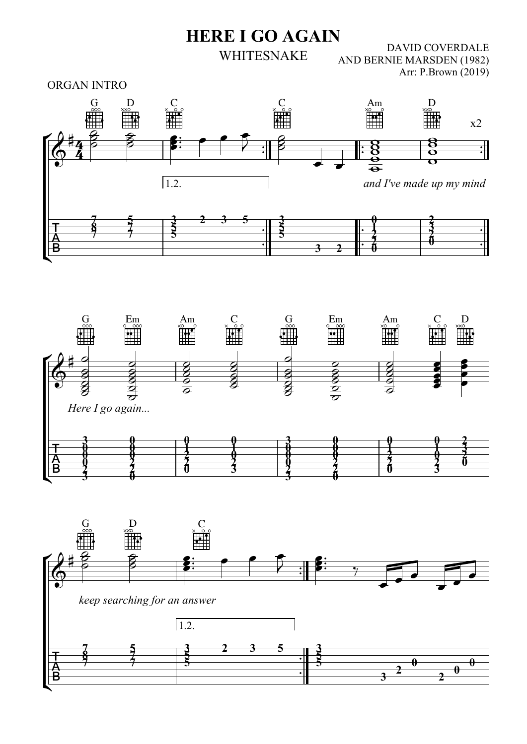DAVID COVERDALE AND BERNIE MARSDEN (1982) Arr: P.Brown (2019) HERE I GO AGAIN WHITESNAKE

ORGAN INTRO





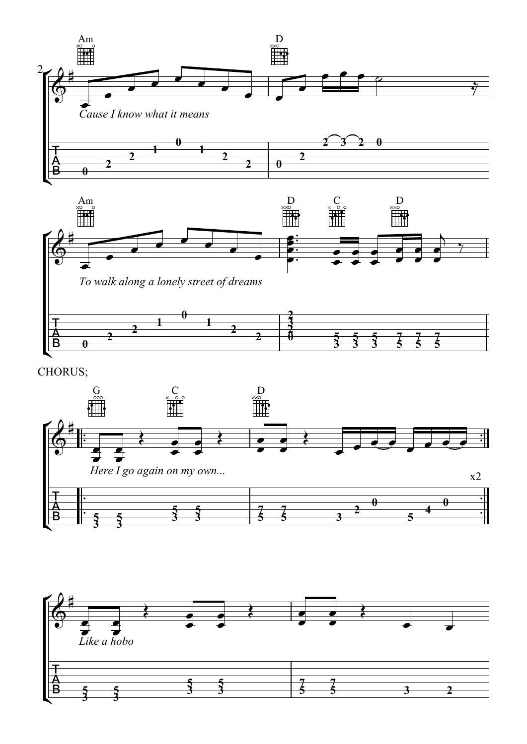



CHORUS;



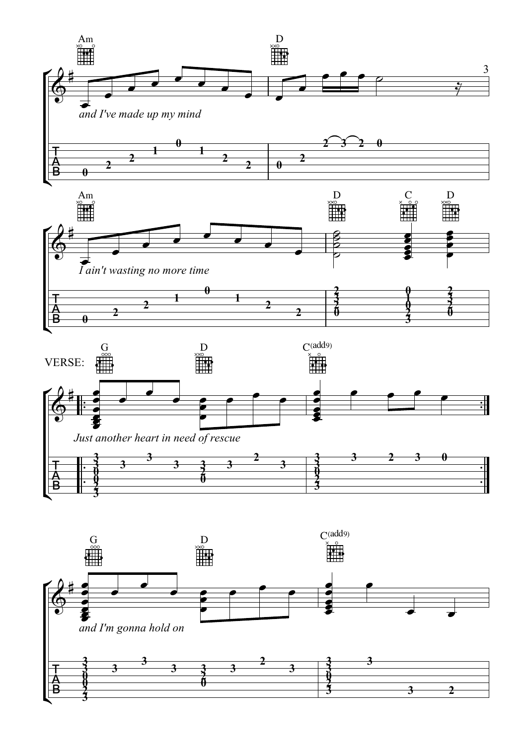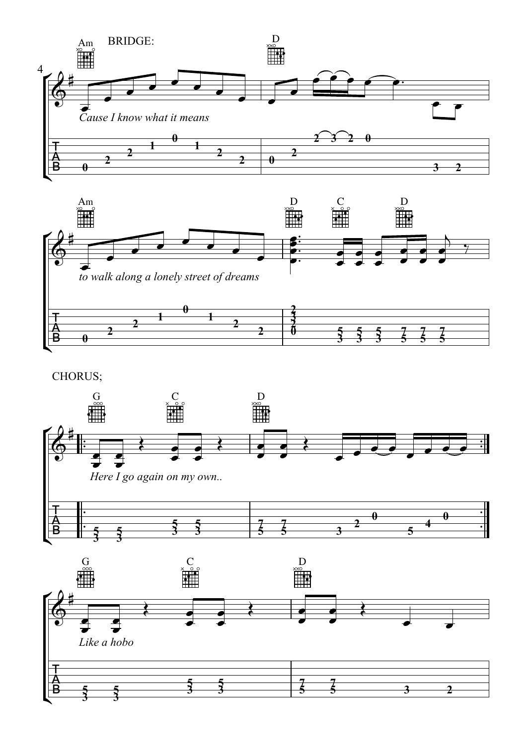



CHORUS;

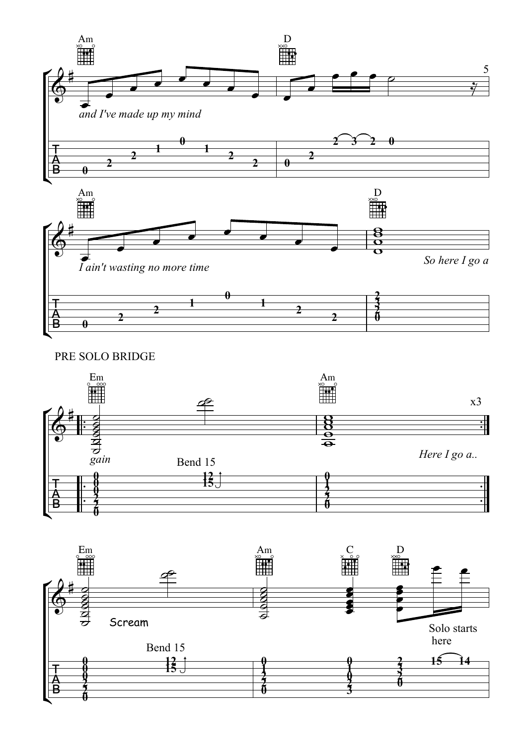

PRE SOLO BRIDGE



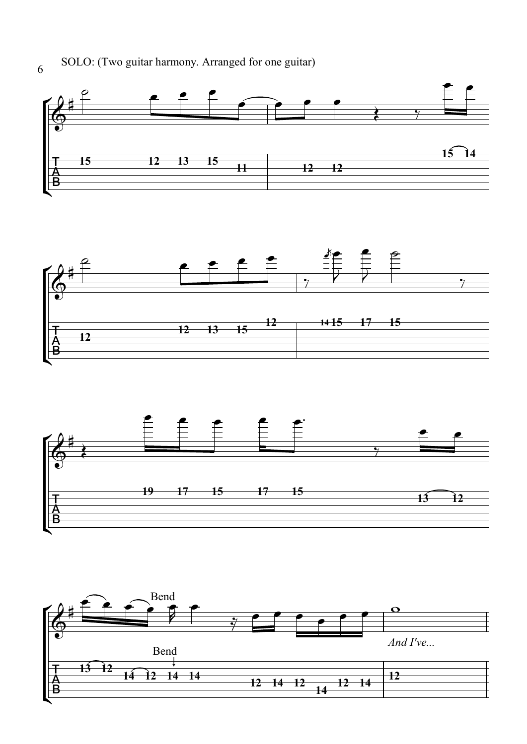SOLO: (Two guitar harmony. Arranged for one guitar)







6